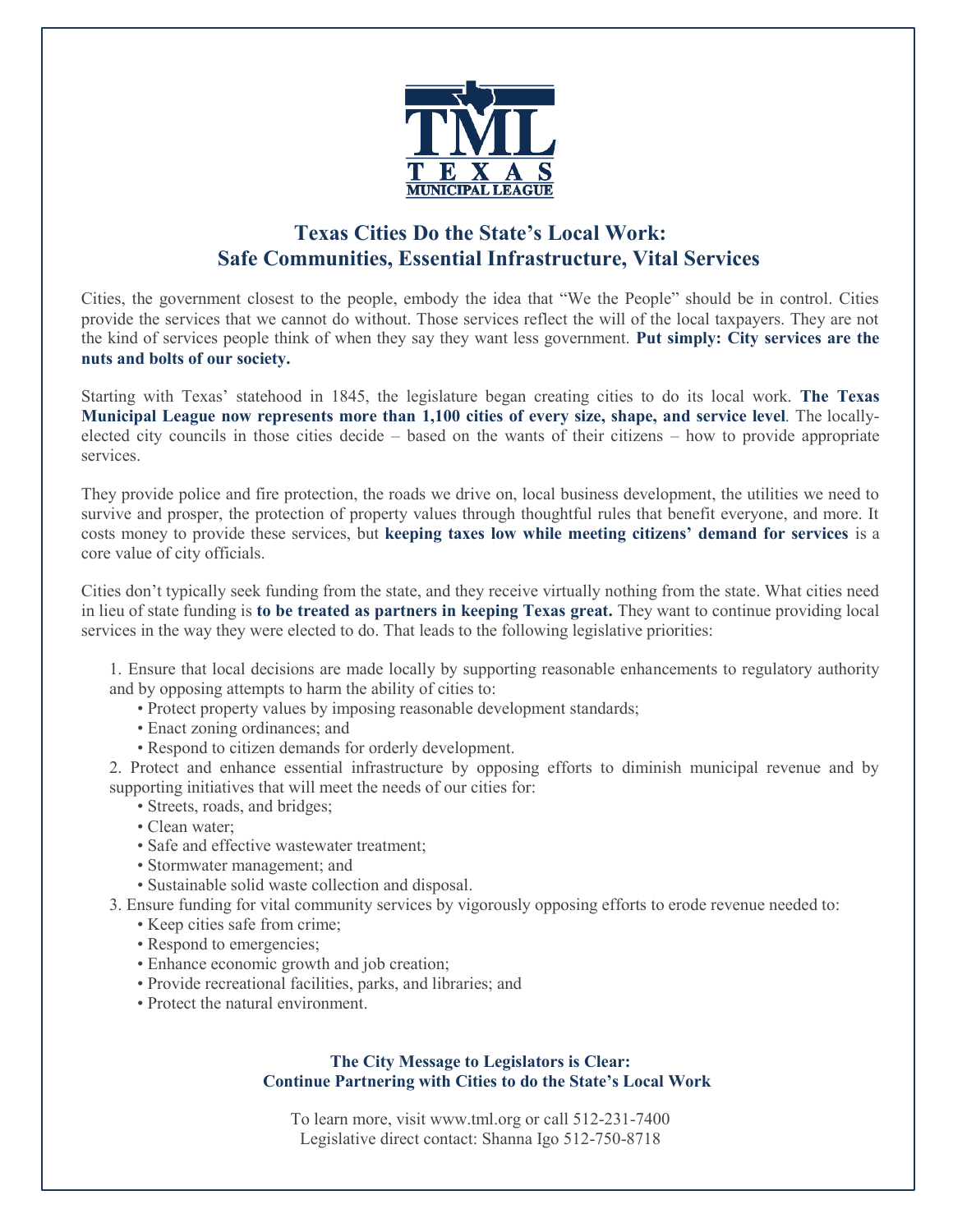

## **Texas Cities Do the State's Local Work: Safe Communities, Essential Infrastructure, Vital Services**

Cities, the government closest to the people, embody the idea that "We the People" should be in control. Cities provide the services that we cannot do without. Those services reflect the will of the local taxpayers. They are not the kind of services people think of when they say they want less government. **Put simply: City services are the nuts and bolts of our society.**

Starting with Texas' statehood in 1845, the legislature began creating cities to do its local work. **The Texas Municipal League now represents more than 1,100 cities of every size, shape, and service level***.* The locallyelected city councils in those cities decide – based on the wants of their citizens – how to provide appropriate services.

They provide police and fire protection, the roads we drive on, local business development, the utilities we need to survive and prosper, the protection of property values through thoughtful rules that benefit everyone, and more. It costs money to provide these services, but **keeping taxes low while meeting citizens' demand for services** is a core value of city officials.

Cities don't typically seek funding from the state, and they receive virtually nothing from the state. What cities need in lieu of state funding is **to be treated as partners in keeping Texas great.** They want to continue providing local services in the way they were elected to do. That leads to the following legislative priorities:

1. Ensure that local decisions are made locally by supporting reasonable enhancements to regulatory authority and by opposing attempts to harm the ability of cities to:

- Protect property values by imposing reasonable development standards;
- Enact zoning ordinances; and
- Respond to citizen demands for orderly development.

2. Protect and enhance essential infrastructure by opposing efforts to diminish municipal revenue and by supporting initiatives that will meet the needs of our cities for:

- Streets, roads, and bridges;
- Clean water:
- Safe and effective wastewater treatment;
- Stormwater management; and
- Sustainable solid waste collection and disposal.
- 3. Ensure funding for vital community services by vigorously opposing efforts to erode revenue needed to:
	- Keep cities safe from crime;
	- Respond to emergencies;
	- Enhance economic growth and job creation;
	- Provide recreational facilities, parks, and libraries; and
	- Protect the natural environment.

## **The City Message to Legislators is Clear: Continue Partnering with Cities to do the State's Local Work**

To learn more, visit www.tml.org or call 512-231-7400 Legislative direct contact: Shanna Igo 512-750-8718